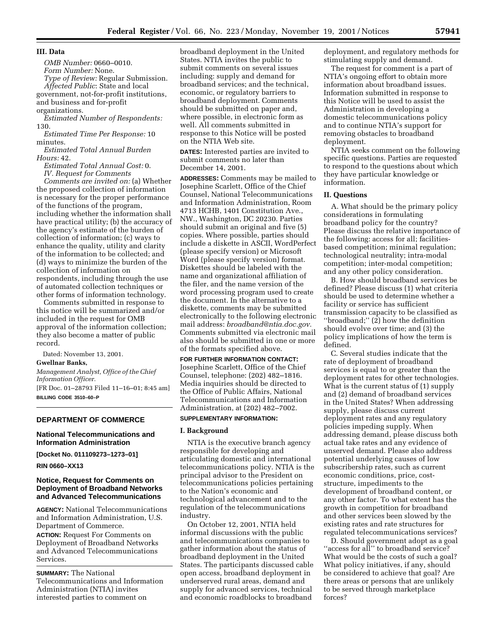#### **III. Data**

*OMB Number:* 0660–0010.

*Form Number:* None.

*Type of Review:* Regular Submission. *Affected Public*: State and local government, not-for-profit institutions, and business and for-profit

organizations.

*Estimated Number of Respondents:* 130.

*Estimated Time Per Response:* 10 minutes.

*Estimated Total Annual Burden Hours:* 42.

*Estimated Total Annual Cost:* 0. *IV. Request for Comments*

*Comments are invited on:* (a) Whether the proposed collection of information is necessary for the proper performance of the functions of the program, including whether the information shall have practical utility; (b) the accuracy of the agency's estimate of the burden of collection of information; (c) ways to enhance the quality, utility and clarity of the information to be collected; and (d) ways to minimize the burden of the collection of information on respondents, including through the use of automated collection techniques or other forms of information technology.

Comments submitted in response to this notice will be summarized and/or included in the request for OMB approval of the information collection; they also become a matter of public record.

Dated: November 13, 2001.

#### **Gwellnar Banks,**

*Management Analyst, Office of the Chief Information Officer.*

[FR Doc. 01–28793 Filed 11–16–01; 8:45 am] **BILLING CODE 3510–60–P**

## **DEPARTMENT OF COMMERCE**

# **National Telecommunications and Information Administration**

**[Docket No. 011109273–1273–01]**

**RIN 0660–XX13**

# **Notice, Request for Comments on Deployment of Broadband Networks and Advanced Telecommunications**

**AGENCY:** National Telecommunications and Information Administration, U.S. Department of Commerce.

**ACTION:** Request For Comments on Deployment of Broadband Networks and Advanced Telecommunications Services.

#### **SUMMARY:** The National

Telecommunications and Information Administration (NTIA) invites interested parties to comment on

broadband deployment in the United States. NTIA invites the public to submit comments on several issues including: supply and demand for broadband services; and the technical, economic, or regulatory barriers to broadband deployment. Comments should be submitted on paper and, where possible, in electronic form as well. All comments submitted in response to this Notice will be posted on the NTIA Web site.

**DATES:** Interested parties are invited to submit comments no later than December 14, 2001.

**ADDRESSES:** Comments may be mailed to Josephine Scarlett, Office of the Chief Counsel, National Telecommunications and Information Administration, Room 4713 HCHB, 1401 Constitution Ave., NW., Washington, DC 20230. Parties should submit an original and five (5) copies. Where possible, parties should include a diskette in ASCII, WordPerfect (please specify version) or Microsoft Word (please specify version) format. Diskettes should be labeled with the name and organizational affiliation of the filer, and the name version of the word processing program used to create the document. In the alternative to a diskette, comments may be submitted electronically to the following electronic mail address: *broadband@ntia.doc.gov.* Comments submitted via electronic mail also should be submitted in one or more of the formats specified above.

#### **FOR FURTHER INFORMATION CONTACT:**

Josephine Scarlett, Office of the Chief Counsel, telephone: (202) 482–1816. Media inquiries should be directed to the Office of Public Affairs, National Telecommunications and Information Administration, at (202) 482–7002.

## **SUPPLEMENTARY INFORMATION:**

#### **I. Background**

NTIA is the executive branch agency responsible for developing and articulating domestic and international telecommunications policy. NTIA is the principal advisor to the President on telecommunications policies pertaining to the Nation's economic and technological advancement and to the regulation of the telecommunications industry.

On October 12, 2001, NTIA held informal discussions with the public and telecommunications companies to gather information about the status of broadband deployment in the United States. The participants discussed cable open access, broadband deployment in underserved rural areas, demand and supply for advanced services, technical and economic roadblocks to broadband

deployment, and regulatory methods for stimulating supply and demand.

The request for comment is a part of NTIA's ongoing effort to obtain more information about broadband issues. Information submitted in response to this Notice will be used to assist the Administration in developing a domestic telecommunications policy and to continue NTIA's support for removing obstacles to broadband deployment.

NTIA seeks comment on the following specific questions. Parties are requested to respond to the questions about which they have particular knowledge or information.

## **II. Questions**

A. What should be the primary policy considerations in formulating broadband policy for the country? Please discuss the relative importance of the following: access for all; facilitiesbased competition; minimal regulation; technological neutrality; intra-modal competition; inter-modal competition; and any other policy consideration.

B. How should broadband services be defined? Please discuss (1) what criteria should be used to determine whether a facility or service has sufficient transmission capacity to be classified as ''broadband;'' (2) how the definition should evolve over time; and (3) the policy implications of how the term is defined.

C. Several studies indicate that the rate of deployment of broadband services is equal to or greater than the deployment rates for other technologies. What is the current status of (1) supply and (2) demand of broadband services in the United States? When addressing supply, please discuss current deployment rates and any regulatory policies impeding supply. When addressing demand, please discuss both actual take rates and any evidence of unserved demand. Please also address potential underlying causes of low subscribership rates, such as current economic conditions, price, coststructure, impediments to the development of broadband content, or any other factor. To what extent has the growth in competition for broadband and other services been slowed by the existing rates and rate structures for regulated telecommunications services?

D. Should government adopt as a goal "access for all" to broadband service? What would be the costs of such a goal? What policy initiatives, if any, should be considered to achieve that goal? Are there areas or persons that are unlikely to be served through marketplace forces?